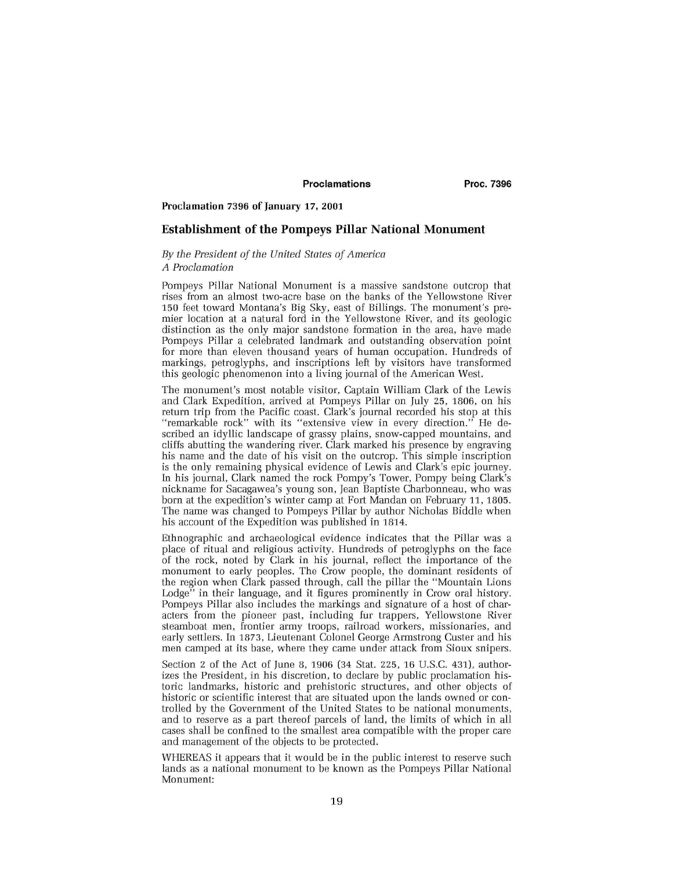# Proclamations Proc. 7396

#### **Proclamation 7396 of January 17, 2001**

### Establishment of the Pompeys Pillar National Monument

## *By the President of the United States of America A Proclamation*

Pompeys Pillar National Monument is a massive sandstone outcrop that rises from an almost two-acre base on the banks of the Yellowstone River 150 feet toward Montana's Big Sky, east of Billings. The monument's premier location at a natural ford in the Yellowstone River, and its geologic distinction as the only major sandstone formation in the area, have made Pompeys Pillar a celebrated landmark and outstanding observation point for more than eleven thousand years of human occupation. Hundreds of markings, petroglyphs, and inscriptions left by visitors have transformed this geologic phenomenon into a living journal of the American West.

The monument's most notable visitor, Captain William Clark of the Lewis and Clark Expedition, arrived at Pompeys Pillar on July 25, 1806, on his return trip from the Pacific coast. Clark's journal recorded his stop at this "remarkable rock" with its "extensive view in every direction." He described an idyllic landscape of grassy plains, snow-capped mountains, and cliffs abutting the wandering river. Clark marked his presence by engraving his name and the date of his visit on the outcrop. This simple inscription is the only remaining physical evidence of Lewis and Clark's epic journey. In his journal, Clark named the rock Pompy's Tower, Pompy being Clark's nickname for Sacagawea's young son, Jean Baptiste Charbonneau, who was born at the expedition's winter camp at Fort Mandan on February 11, 1805. The name was changed to Pompeys Pillar by author Nicholas Biddle when his account of the Expedition was published in 1814.

Ethnographic and archaeological evidence indicates that the Pillar was a place of ritual and religious activity. Hundreds of petroglyphs on the face of the rock, noted by Clark in his journal, reflect the importance of the monument to early peoples. The Crow people, the dominant residents of the region when Clark passed through, call the pillar the "Mountain Lions Lodge" in their language, and it figures prominently in Crow oral history. Pompeys Pillar also includes the markings and signature of a host of characters from the pioneer past, including fur trappers, Yellowstone River steamboat men, frontier army troops, railroad workers, missionaries, and early settlers. In 1873, Lieutenant Colonel George Armstrong Custer and his men camped at its base, where they came under attack from Sioux snipers.

Section 2 of the Act of June 8, 1906 (34 Stat. 225, 16 U.S.C. 431), authorizes the President, in his discretion, to declare by public proclamation historic landmarks, historic and prehistoric structures, and other objects of historic or scientific interest that are situated upon the lands owned or controlled by the Government of the United States to be national monuments, and to reserve as a part thereof parcels of land, the limits of which in all cases shall be confined to the smallest area compatible with the proper care and management of the objects to be protected.

WHEREAS it appears that it would be in the public interest to reserve such lands as a national monument to be known as the Pompeys Pillar National Monument: